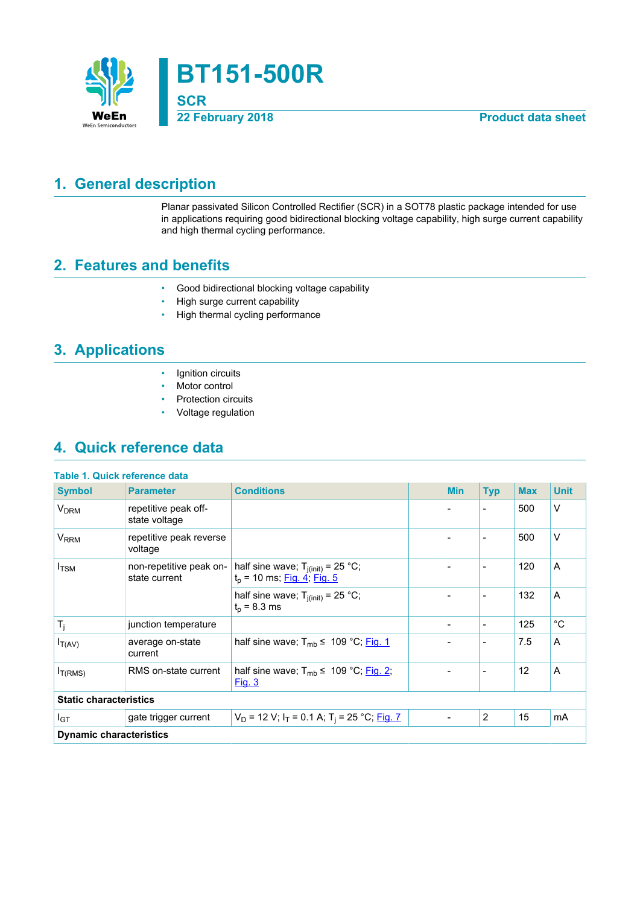

## <span id="page-0-0"></span>**1. General description**

Planar passivated Silicon Controlled Rectifier (SCR) in a SOT78 plastic package intended for use in applications requiring good bidirectional blocking voltage capability, high surge current capability and high thermal cycling performance.

## <span id="page-0-1"></span>**2. Features and benefits**

- Good bidirectional blocking voltage capability
- High surge current capability
- High thermal cycling performance

## <span id="page-0-2"></span>**3. Applications**

- Ignition circuits
- Motor control
- Protection circuits
- Voltage regulation

## <span id="page-0-3"></span>**4. Quick reference data**

|  | Table 1. Quick reference data |  |
|--|-------------------------------|--|
|  |                               |  |

| <b>Symbol</b>                  | <b>Parameter</b>                         | <b>Conditions</b>                                                       |  | <b>Min</b>               | <b>Typ</b>               | <b>Max</b> | <b>Unit</b> |  |
|--------------------------------|------------------------------------------|-------------------------------------------------------------------------|--|--------------------------|--------------------------|------------|-------------|--|
| <b>V<sub>DRM</sub></b>         | repetitive peak off-<br>state voltage    |                                                                         |  |                          | $\overline{\phantom{a}}$ | 500        | $\vee$      |  |
| <b>V<sub>RRM</sub></b>         | repetitive peak reverse<br>voltage       |                                                                         |  |                          | $\overline{\phantom{a}}$ | 500        | V           |  |
| $I_{TSM}$                      | non-repetitive peak on-<br>state current | half sine wave; $T_{j(int)} = 25 °C$ ;<br>$t_p$ = 10 ms; Fig. 4; Fig. 5 |  |                          |                          | 120        | A           |  |
|                                |                                          | half sine wave; $T_{i(int)} = 25$ °C;<br>$t_p = 8.3$ ms                 |  | $\overline{\phantom{a}}$ | $\overline{\phantom{a}}$ | 132        | A           |  |
| $T_j$                          | junction temperature                     |                                                                         |  | $\overline{\phantom{a}}$ | $\overline{\phantom{a}}$ | 125        | $^{\circ}C$ |  |
| $I_{T(AV)}$                    | average on-state<br>current              | half sine wave; $T_{mb} \leq 109 \degree C$ ; Fig. 1                    |  |                          | $\overline{\phantom{a}}$ | 7.5        | A           |  |
| $I_{T(RMS)}$                   | RMS on-state current                     | half sine wave; $T_{mb} \leq 109 \degree C$ ; Fig. 2;<br><u>Fig. 3</u>  |  |                          |                          | 12         | A           |  |
| <b>Static characteristics</b>  |                                          |                                                                         |  |                          |                          |            |             |  |
| $I_{GT}$                       | gate trigger current                     | $V_D$ = 12 V; I <sub>T</sub> = 0.1 A; T <sub>i</sub> = 25 °C; Fig. 7    |  | $\overline{\phantom{a}}$ | 2                        | 15         | mA          |  |
| <b>Dynamic characteristics</b> |                                          |                                                                         |  |                          |                          |            |             |  |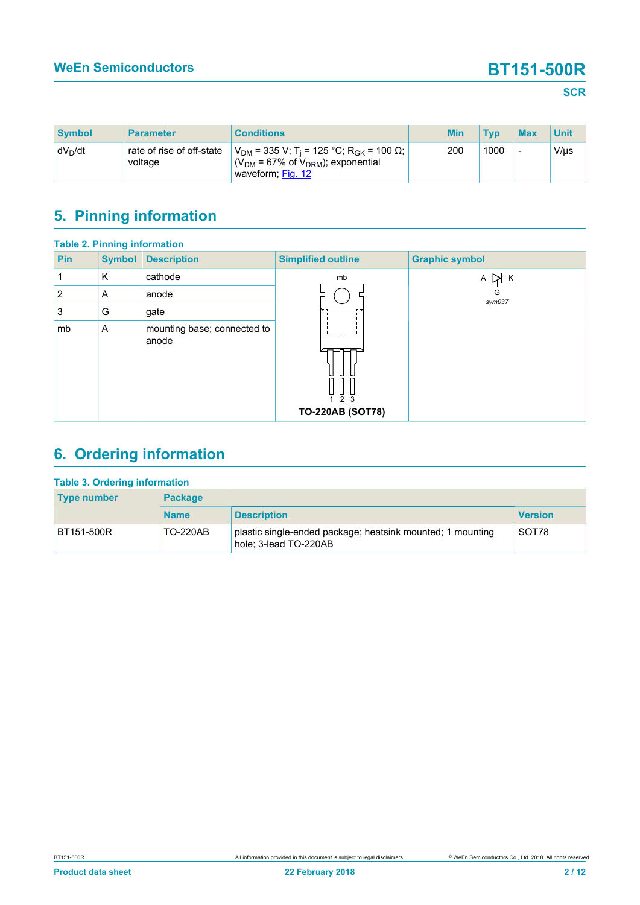| <b>Symbol</b> | <b>Parameter</b>                     | <b>Conditions</b>                                                                                                                          | <b>Min</b> | <b>Tvp</b> | <b>Max</b> | <b>Unit</b> |
|---------------|--------------------------------------|--------------------------------------------------------------------------------------------------------------------------------------------|------------|------------|------------|-------------|
| $dV_D/dt$     | rate of rise of off-state<br>voltage | $V_{DM}$ = 335 V; T <sub>i</sub> = 125 °C; R <sub>GK</sub> = 100 Ω;  <br>( $V_{DM}$ = 67% of $V_{DRM}$ ); exponential<br>waveform; Fig. 12 | 200        | 1000       | -          | $V/\mu s$   |

# <span id="page-1-0"></span>**5. Pinning information**

|                | <b>Table 2. Pinning information</b> |                                      |                                |                       |
|----------------|-------------------------------------|--------------------------------------|--------------------------------|-----------------------|
| Pin            | <b>Symbol</b>                       | <b>Description</b>                   | <b>Simplified outline</b>      | <b>Graphic symbol</b> |
|                | K                                   | cathode                              | mb                             | $A + A K$             |
| $\overline{2}$ | Α                                   | anode                                |                                | G<br>sym037           |
| 3              | G                                   | gate                                 |                                |                       |
| mb             | A                                   | mounting base; connected to<br>anode | 2 3<br><b>TO-220AB (SOT78)</b> |                       |

# <span id="page-1-1"></span>**6. Ordering information**

| <b>Table 3. Ordering information</b> |                 |                                                                                     |                |  |  |  |
|--------------------------------------|-----------------|-------------------------------------------------------------------------------------|----------------|--|--|--|
| <b>Type number</b>                   | <b>Package</b>  |                                                                                     |                |  |  |  |
|                                      | <b>Name</b>     | <b>Description</b>                                                                  | <b>Version</b> |  |  |  |
| BT151-500R                           | <b>TO-220AB</b> | plastic single-ended package; heatsink mounted; 1 mounting<br>hole: 3-lead TO-220AB | SOT78          |  |  |  |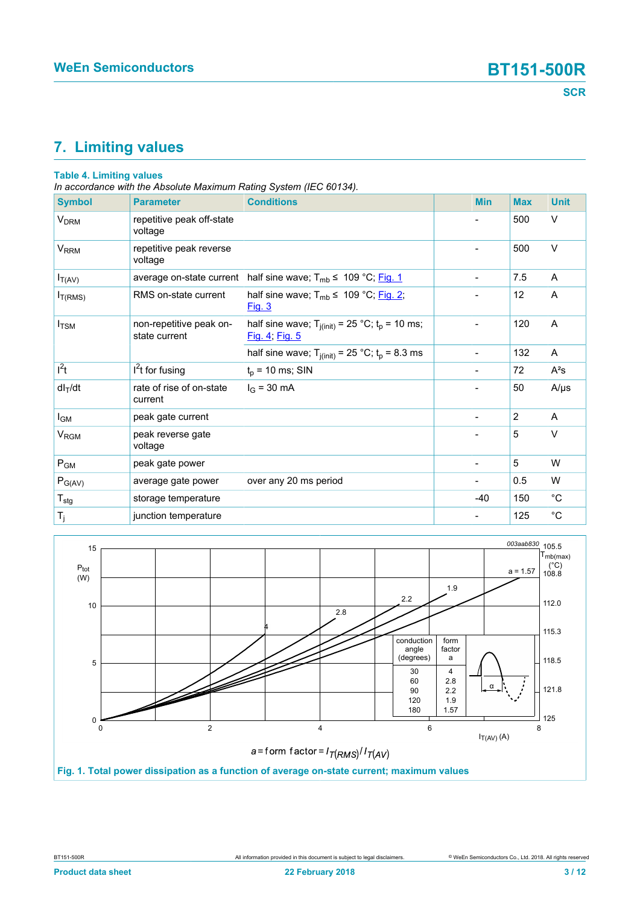# <span id="page-2-1"></span>**7. Limiting values**

### **Table 4. Limiting values**

*In accordance with the Absolute Maximum Rating System (IEC 60134).*

| <b>Symbol</b>          | <b>Parameter</b>                         | <b>Conditions</b>                                                       | <b>Min</b>               | <b>Max</b> | <b>Unit</b> |
|------------------------|------------------------------------------|-------------------------------------------------------------------------|--------------------------|------------|-------------|
| <b>V<sub>DRM</sub></b> | repetitive peak off-state<br>voltage     |                                                                         |                          | 500        | V           |
| <b>V<sub>RRM</sub></b> | repetitive peak reverse<br>voltage       |                                                                         | $\blacksquare$           | 500        | V           |
| $I_{T(AV)}$            | average on-state current                 | half sine wave; $T_{mb} \leq 109 \degree C$ ; Fig. 1                    | $\overline{\phantom{a}}$ | 7.5        | A           |
| I <sub>T(RMS)</sub>    | RMS on-state current                     | half sine wave; $T_{mb} \leq 109 \degree C$ ; Fig. 2;<br>Fig. 3         |                          | 12         | A           |
| $I_{\text{TSM}}$       | non-repetitive peak on-<br>state current | half sine wave; $T_{j(int)} = 25 °C$ ; $t_p = 10$ ms;<br>Fig. 4; Fig. 5 |                          | 120        | A           |
|                        |                                          | half sine wave; $T_{j(int)} = 25 °C$ ; $t_p = 8.3$ ms                   | $\overline{\phantom{a}}$ | 132        | Α           |
| $l^2t$                 | $I2t$ for fusing                         | $t_p$ = 10 ms; SIN                                                      |                          | 72         | $A^2s$      |
| $dl_T/dt$              | rate of rise of on-state<br>current      | $I_G = 30 \text{ mA}$                                                   |                          | 50         | $A/\mu s$   |
| l <sub>GM</sub>        | peak gate current                        |                                                                         | $\blacksquare$           | 2          | A           |
| V <sub>RGM</sub>       | peak reverse gate<br>voltage             |                                                                         |                          | 5          | V           |
| $P_{GM}$               | peak gate power                          |                                                                         |                          | 5          | W           |
| $P_{G(AV)}$            | average gate power                       | over any 20 ms period                                                   |                          | 0.5        | W           |
| $T_{\text{stg}}$       | storage temperature                      |                                                                         | $-40$                    | 150        | $^{\circ}C$ |
| $T_j$                  | junction temperature                     |                                                                         |                          | 125        | $^{\circ}C$ |

<span id="page-2-0"></span>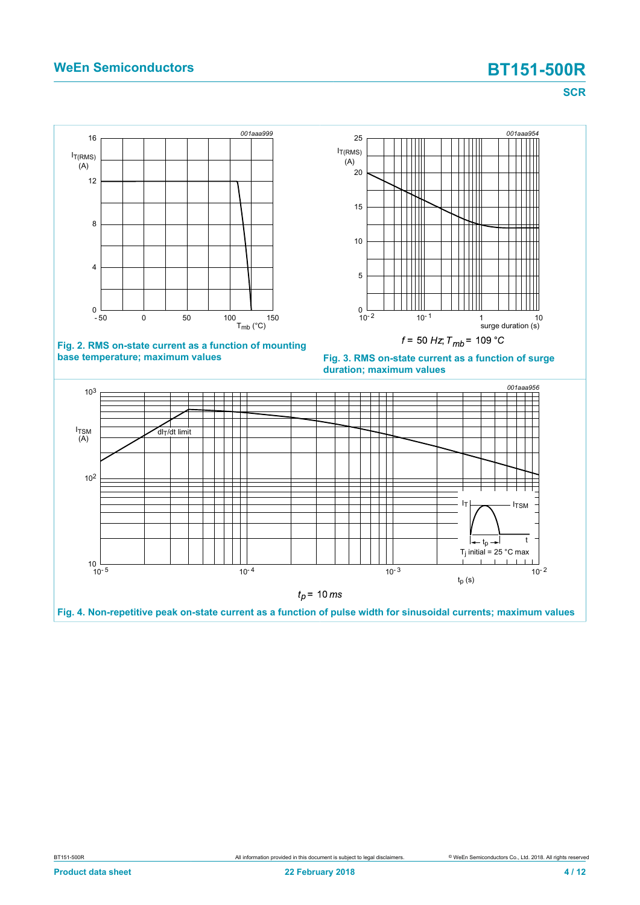### **WeEn Semiconductors BT151-500R**

**SCR**

<span id="page-3-1"></span>

<span id="page-3-2"></span>





<span id="page-3-0"></span>

**Fig. 4. Non-repetitive peak on-state current as a function of pulse width for sinusoidal currents; maximum values**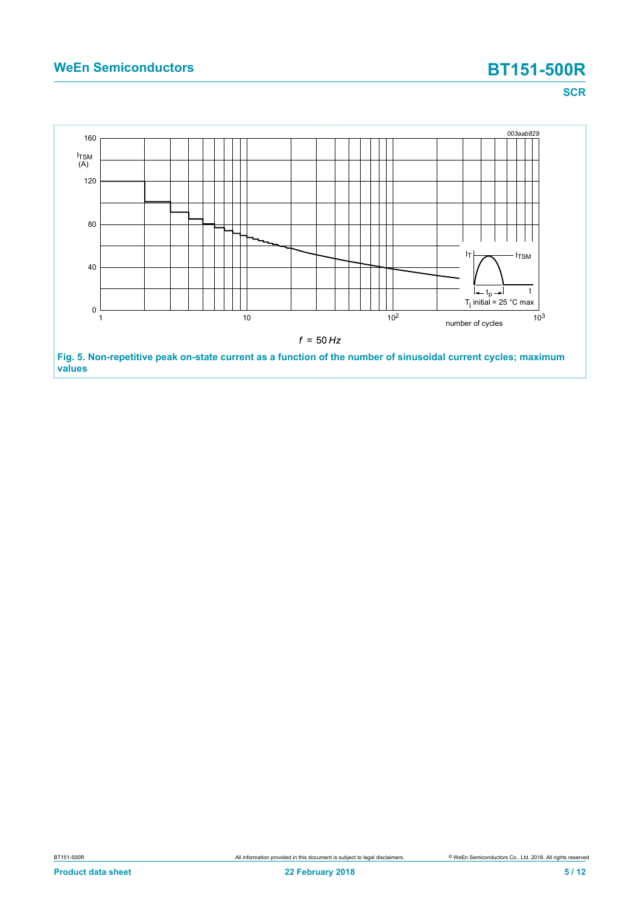# **WeEn Semiconductors BT151-500R**

**SCR**

<span id="page-4-0"></span>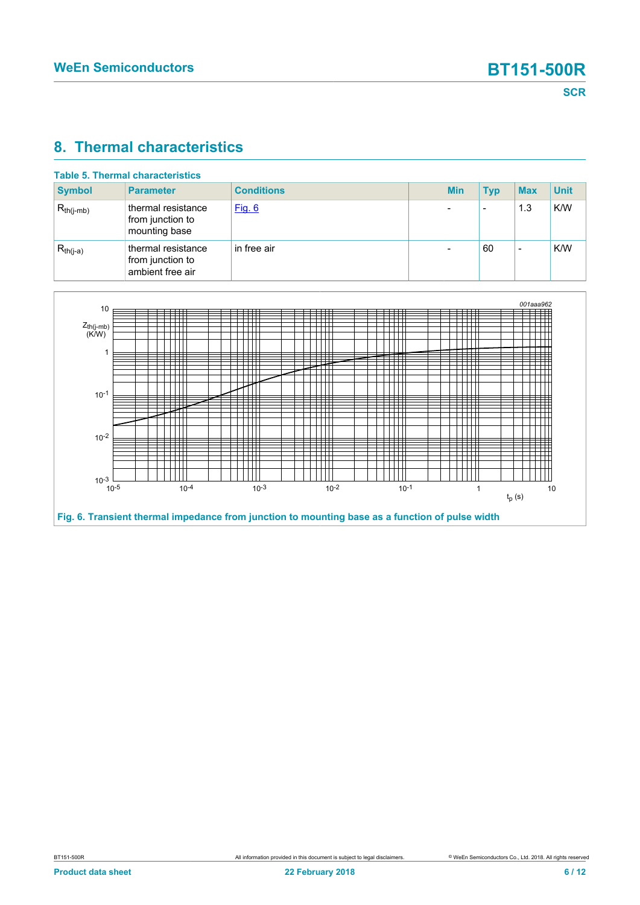### <span id="page-5-1"></span>**8. Thermal characteristics**

| <b>Table 5. Thermal characteristics</b> |                                                            |                   |  |            |                          |            |             |
|-----------------------------------------|------------------------------------------------------------|-------------------|--|------------|--------------------------|------------|-------------|
| <b>Symbol</b>                           | <b>Parameter</b>                                           | <b>Conditions</b> |  | <b>Min</b> | <b>Typ</b>               | <b>Max</b> | <b>Unit</b> |
| $R_{th(i-mb)}$                          | thermal resistance<br>from junction to<br>mounting base    | Fig. 6            |  |            | $\overline{\phantom{0}}$ | 1.3        | K/W         |
| $R_{th(j-a)}$                           | thermal resistance<br>from junction to<br>ambient free air | in free air       |  |            | 60                       | -          | K/W         |

<span id="page-5-0"></span>

**Fig. 6. Transient thermal impedance from junction to mounting base as a function of pulse width**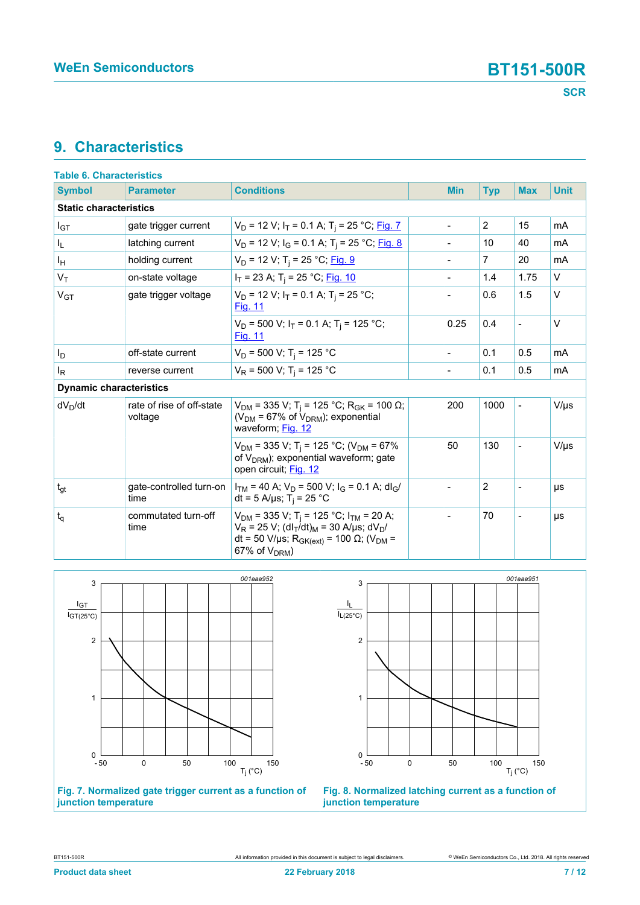## <span id="page-6-2"></span>**9. Characteristics**

| <b>Table 6. Characteristics</b> |                                      |                                                                                                                                                                                                                                                    |  |                          |                |                          |             |
|---------------------------------|--------------------------------------|----------------------------------------------------------------------------------------------------------------------------------------------------------------------------------------------------------------------------------------------------|--|--------------------------|----------------|--------------------------|-------------|
| <b>Symbol</b>                   | <b>Parameter</b>                     | <b>Conditions</b>                                                                                                                                                                                                                                  |  | <b>Min</b>               | <b>Typ</b>     | <b>Max</b>               | <b>Unit</b> |
| <b>Static characteristics</b>   |                                      |                                                                                                                                                                                                                                                    |  |                          |                |                          |             |
| $I_{GT}$                        | gate trigger current                 | $V_D$ = 12 V; $I_T$ = 0.1 A; T <sub>j</sub> = 25 °C; Fig. 7                                                                                                                                                                                        |  | $\overline{a}$           | $\overline{2}$ | 15                       | mA          |
| I <sub>L</sub>                  | latching current                     | $V_D$ = 12 V; $I_G$ = 0.1 A; T <sub>i</sub> = 25 °C; Fig. 8                                                                                                                                                                                        |  |                          | 10             | 40                       | mA          |
| Iн                              | holding current                      | $V_D$ = 12 V; T <sub>i</sub> = 25 °C; Fig. 9                                                                                                                                                                                                       |  | $\overline{a}$           | $\overline{7}$ | 20                       | mA          |
| $V_T$                           | on-state voltage                     | $I_T$ = 23 A; T <sub>i</sub> = 25 °C; Fig. 10                                                                                                                                                                                                      |  |                          | 1.4            | 1.75                     | $\vee$      |
| V <sub>GT</sub>                 | gate trigger voltage                 | $V_D$ = 12 V; $I_T$ = 0.1 A; T <sub>i</sub> = 25 °C;<br><b>Fig. 11</b>                                                                                                                                                                             |  |                          | 0.6            | 1.5                      | $\vee$      |
|                                 |                                      | $V_D$ = 500 V; $I_T$ = 0.1 A; T <sub>i</sub> = 125 °C;<br><b>Fig. 11</b>                                                                                                                                                                           |  | 0.25                     | 0.4            | $\overline{a}$           | $\vee$      |
| I <sub>D</sub>                  | off-state current                    | $V_D$ = 500 V; T <sub>i</sub> = 125 °C                                                                                                                                                                                                             |  | $\overline{a}$           | 0.1            | 0.5                      | mA          |
| $I_R$                           | reverse current                      | $V_R$ = 500 V; T <sub>i</sub> = 125 °C                                                                                                                                                                                                             |  | $\overline{a}$           | 0.1            | 0.5                      | mA          |
| <b>Dynamic characteristics</b>  |                                      |                                                                                                                                                                                                                                                    |  |                          |                |                          |             |
| $dV_D/dt$                       | rate of rise of off-state<br>voltage | $V_{DM}$ = 335 V; T <sub>i</sub> = 125 °C; R <sub>GK</sub> = 100 Ω;<br>( $V_{DM}$ = 67% of $V_{DRM}$ ); exponential<br>waveform; Fig. 12                                                                                                           |  | 200                      | 1000           | $\overline{\phantom{0}}$ | $V/\mu s$   |
|                                 |                                      | $V_{DM}$ = 335 V; T <sub>i</sub> = 125 °C; (V <sub>DM</sub> = 67%<br>of V <sub>DRM</sub> ); exponential waveform; gate<br>open circuit; Fig. 12                                                                                                    |  | 50                       | 130            |                          | $V/\mu s$   |
| $t_{gt}$                        | gate-controlled turn-on<br>time      | $I_{TM}$ = 40 A; $V_D$ = 500 V; $I_G$ = 0.1 A; dl <sub>G</sub> /<br>dt = 5 A/µs; T <sub>i</sub> = 25 °C                                                                                                                                            |  | $\overline{a}$           | $\overline{2}$ |                          | μs          |
| $t_{q}$                         | commutated turn-off<br>time          | $V_{DM}$ = 335 V; T <sub>i</sub> = 125 °C; I <sub>TM</sub> = 20 A;<br>$V_R$ = 25 V; (dl <sub>T</sub> /dt) <sub>M</sub> = 30 A/µs; dV <sub>D</sub> /<br>dt = 50 V/μs; R <sub>GK(ext)</sub> = 100 Ω; (V <sub>DM</sub> =<br>67% of V <sub>DRM</sub> ) |  | $\overline{\phantom{a}}$ | 70             | $\overline{\phantom{0}}$ | μs          |

<span id="page-6-0"></span>

**Fig. 7. Normalized gate trigger current as a function of junction temperature**

<span id="page-6-1"></span>

**Fig. 8. Normalized latching current as a function of junction temperature**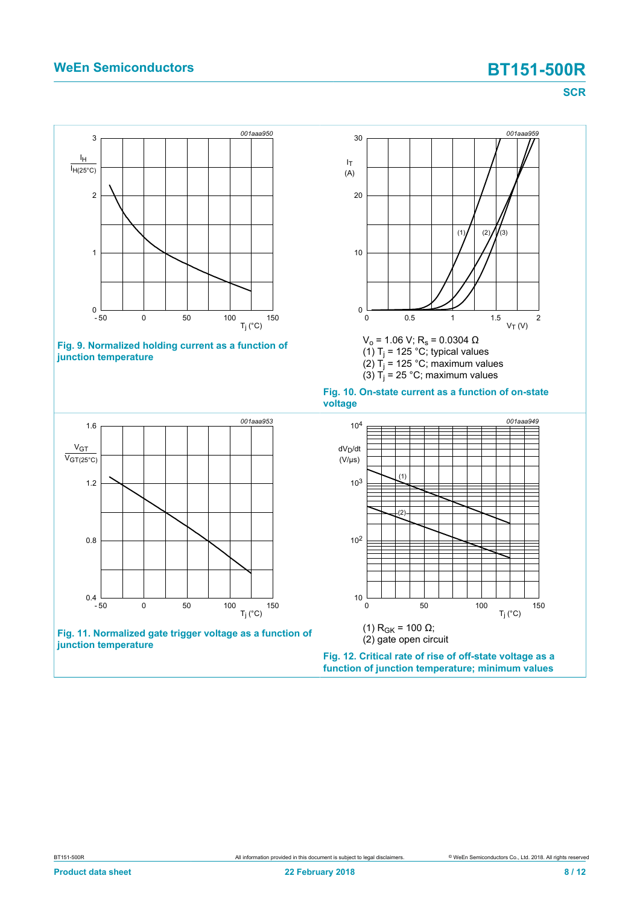### **WeEn Semiconductors BT151-500R**

<span id="page-7-2"></span><span id="page-7-0"></span>**SCR**

<span id="page-7-3"></span><span id="page-7-1"></span>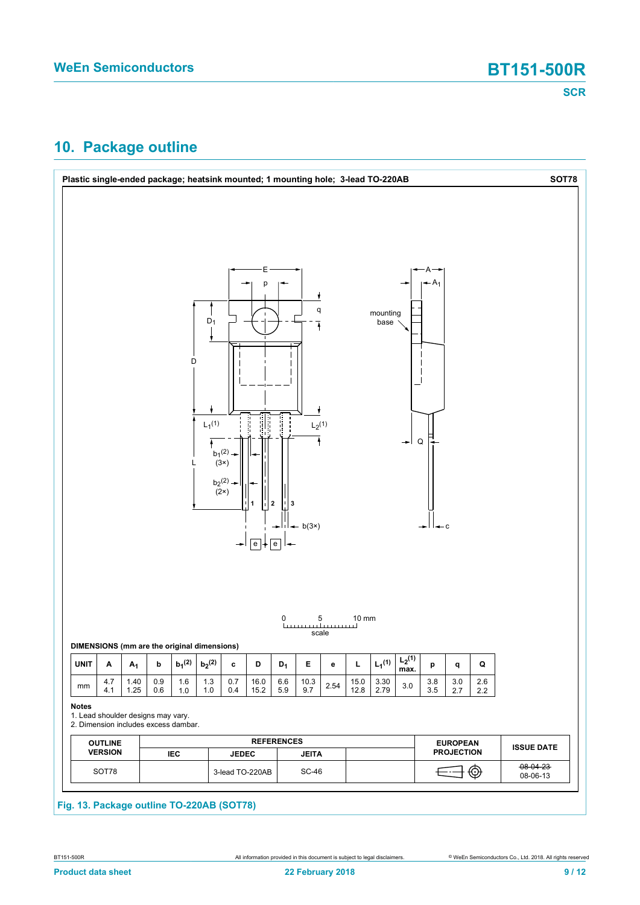## <span id="page-8-0"></span>**10. Package outline**

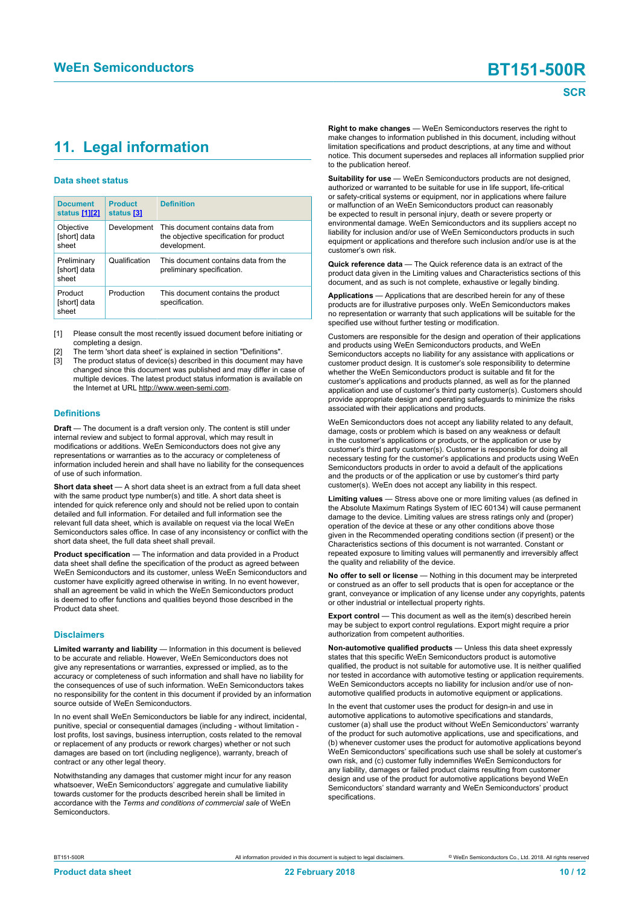## <span id="page-9-1"></span><span id="page-9-0"></span>**11. Legal information**

#### **Data sheet status**

| <b>Document</b><br>status [1][2]     | <b>Product</b><br>status [3] | <b>Definition</b>                                                                           |
|--------------------------------------|------------------------------|---------------------------------------------------------------------------------------------|
| Objective<br>[short] data<br>sheet   | Development                  | This document contains data from<br>the objective specification for product<br>development. |
| Preliminary<br>[short] data<br>sheet | Qualification                | This document contains data from the<br>preliminary specification.                          |
| Product<br>[short] data<br>sheet     | Production                   | This document contains the product<br>specification.                                        |

[1] Please consult the most recently issued document before initiating or completing a design.

- The term 'short data sheet' is explained in section "Definitions".
- The product status of device(s) described in this document may have changed since this document was published and may differ in case of multiple devices. The latest product status information is available on the Internet at URL http://www.ween-semi.com.

#### **Definitions**

**Draft** — The document is a draft version only. The content is still under internal review and subject to formal approval, which may result in modifications or additions. WeEn Semiconductors does not give any representations or warranties as to the accuracy or completeness of information included herein and shall have no liability for the consequences of use of such information.

**Short data sheet** — A short data sheet is an extract from a full data sheet with the same product type number(s) and title. A short data sheet is intended for quick reference only and should not be relied upon to contain detailed and full information. For detailed and full information see the relevant full data sheet, which is available on request via the local WeEn Semiconductors sales office. In case of any inconsistency or conflict with the short data sheet, the full data sheet shall prevail.

**Product specification** — The information and data provided in a Product data sheet shall define the specification of the product as agreed between WeEn Semiconductors and its customer, unless WeEn Semiconductors and customer have explicitly agreed otherwise in writing. In no event however, shall an agreement be valid in which the WeEn Semiconductors product is deemed to offer functions and qualities beyond those described in the Product data sheet.

#### **Disclaimers**

**Limited warranty and liability** — Information in this document is believed to be accurate and reliable. However, WeEn Semiconductors does not give any representations or warranties, expressed or implied, as to the accuracy or completeness of such information and shall have no liability for the consequences of use of such information. WeEn Semiconductors takes no responsibility for the content in this document if provided by an information source outside of WeEn Semiconductors.

In no event shall WeEn Semiconductors be liable for any indirect, incidental, punitive, special or consequential damages (including - without limitation lost profits, lost savings, business interruption, costs related to the removal or replacement of any products or rework charges) whether or not such damages are based on tort (including negligence), warranty, breach of contract or any other legal theory.

Notwithstanding any damages that customer might incur for any reason whatsoever, WeEn Semiconductors' aggregate and cumulative liability towards customer for the products described herein shall be limited in accordance with the *Terms and conditions of commercial sale* of WeEn **Semiconductors** 

**Right to make changes** — WeEn Semiconductors reserves the right to make changes to information published in this document, including without limitation specifications and product descriptions, at any time and without notice. This document supersedes and replaces all information supplied prior to the publication hereof.

**Suitability for use** — WeEn Semiconductors products are not designed, authorized or warranted to be suitable for use in life support, life-critical or safety-critical systems or equipment, nor in applications where failure or malfunction of an WeEn Semiconductors product can reasonably be expected to result in personal injury, death or severe property or environmental damage. WeEn Semiconductors and its suppliers accept no liability for inclusion and/or use of WeEn Semiconductors products in such equipment or applications and therefore such inclusion and/or use is at the customer's own risk.

**Quick reference data** — The Quick reference data is an extract of the product data given in the Limiting values and Characteristics sections of this document, and as such is not complete, exhaustive or legally binding.

**Applications** — Applications that are described herein for any of these products are for illustrative purposes only. WeEn Semiconductors makes no representation or warranty that such applications will be suitable for the specified use without further testing or modification.

Customers are responsible for the design and operation of their applications and products using WeEn Semiconductors products, and WeEn Semiconductors accepts no liability for any assistance with applications or customer product design. It is customer's sole responsibility to determine whether the WeEn Semiconductors product is suitable and fit for the customer's applications and products planned, as well as for the planned application and use of customer's third party customer(s). Customers should provide appropriate design and operating safeguards to minimize the risks associated with their applications and products.

WeEn Semiconductors does not accept any liability related to any default, damage, costs or problem which is based on any weakness or default in the customer's applications or products, or the application or use by customer's third party customer(s). Customer is responsible for doing all necessary testing for the customer's applications and products using WeEn Semiconductors products in order to avoid a default of the applications and the products or of the application or use by customer's third party customer(s). WeEn does not accept any liability in this respect.

**Limiting values** — Stress above one or more limiting values (as defined in the Absolute Maximum Ratings System of IEC 60134) will cause permanent damage to the device. Limiting values are stress ratings only and (proper) operation of the device at these or any other conditions above those given in the Recommended operating conditions section (if present) or the Characteristics sections of this document is not warranted. Constant or repeated exposure to limiting values will permanently and irreversibly affect the quality and reliability of the device.

**No offer to sell or license** — Nothing in this document may be interpreted or construed as an offer to sell products that is open for acceptance or the grant, conveyance or implication of any license under any copyrights, patents or other industrial or intellectual property rights.

**Export control** — This document as well as the item(s) described herein may be subject to export control regulations. Export might require a prior authorization from competent authorities.

**Non-automotive qualified products** — Unless this data sheet expressly states that this specific WeEn Semiconductors product is automotive qualified, the product is not suitable for automotive use. It is neither qualified nor tested in accordance with automotive testing or application requirements. WeEn Semiconductors accepts no liability for inclusion and/or use of nonautomotive qualified products in automotive equipment or applications.

In the event that customer uses the product for design-in and use in automotive applications to automotive specifications and standards, customer (a) shall use the product without WeEn Semiconductors' warranty of the product for such automotive applications, use and specifications, and (b) whenever customer uses the product for automotive applications beyond WeEn Semiconductors' specifications such use shall be solely at customer's own risk, and (c) customer fully indemnifies WeEn Semiconductors for any liability, damages or failed product claims resulting from customer design and use of the product for automotive applications beyond WeEn Semiconductors' standard warranty and WeEn Semiconductors' product specifications.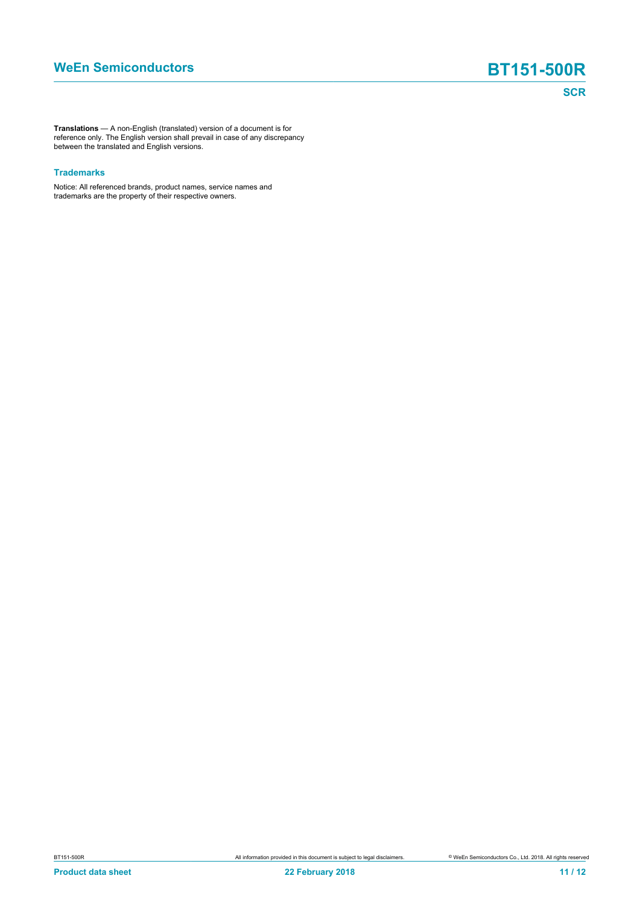**Translations** — A non-English (translated) version of a document is for reference only. The English version shall prevail in case of any discrepancy between the translated and English versions.

#### **Trademarks**

Notice: All referenced brands, product names, service names and trademarks are the property of their respective owners.